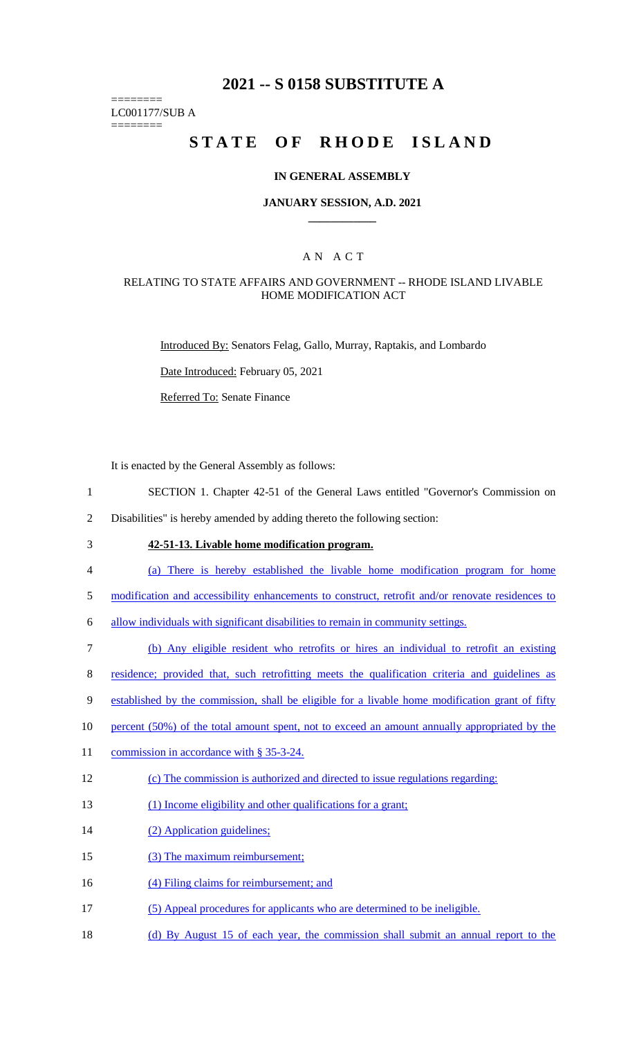## **2021 -- S 0158 SUBSTITUTE A**

======== LC001177/SUB A

========

# STATE OF RHODE ISLAND

### **IN GENERAL ASSEMBLY**

### **JANUARY SESSION, A.D. 2021 \_\_\_\_\_\_\_\_\_\_\_\_**

### A N A C T

### RELATING TO STATE AFFAIRS AND GOVERNMENT -- RHODE ISLAND LIVABLE HOME MODIFICATION ACT

Introduced By: Senators Felag, Gallo, Murray, Raptakis, and Lombardo

Date Introduced: February 05, 2021

Referred To: Senate Finance

It is enacted by the General Assembly as follows:

- 1 SECTION 1. Chapter 42-51 of the General Laws entitled "Governor's Commission on
- 2 Disabilities" is hereby amended by adding thereto the following section:
- 

## 3 **42-51-13. Livable home modification program.**

- 4 (a) There is hereby established the livable home modification program for home
- 5 modification and accessibility enhancements to construct, retrofit and/or renovate residences to
- 6 allow individuals with significant disabilities to remain in community settings.
- 7 (b) Any eligible resident who retrofits or hires an individual to retrofit an existing
- 8 residence; provided that, such retrofitting meets the qualification criteria and guidelines as
- 9 established by the commission, shall be eligible for a livable home modification grant of fifty
- 10 percent (50%) of the total amount spent, not to exceed an amount annually appropriated by the
- 11 commission in accordance with § 35-3-24.
- 12 (c) The commission is authorized and directed to issue regulations regarding:
- 13 (1) Income eligibility and other qualifications for a grant;
- 14 (2) Application guidelines;
- 15 (3) The maximum reimbursement;
- 16 (4) Filing claims for reimbursement; and
- 17 (5) Appeal procedures for applicants who are determined to be ineligible.
- 18 (d) By August 15 of each year, the commission shall submit an annual report to the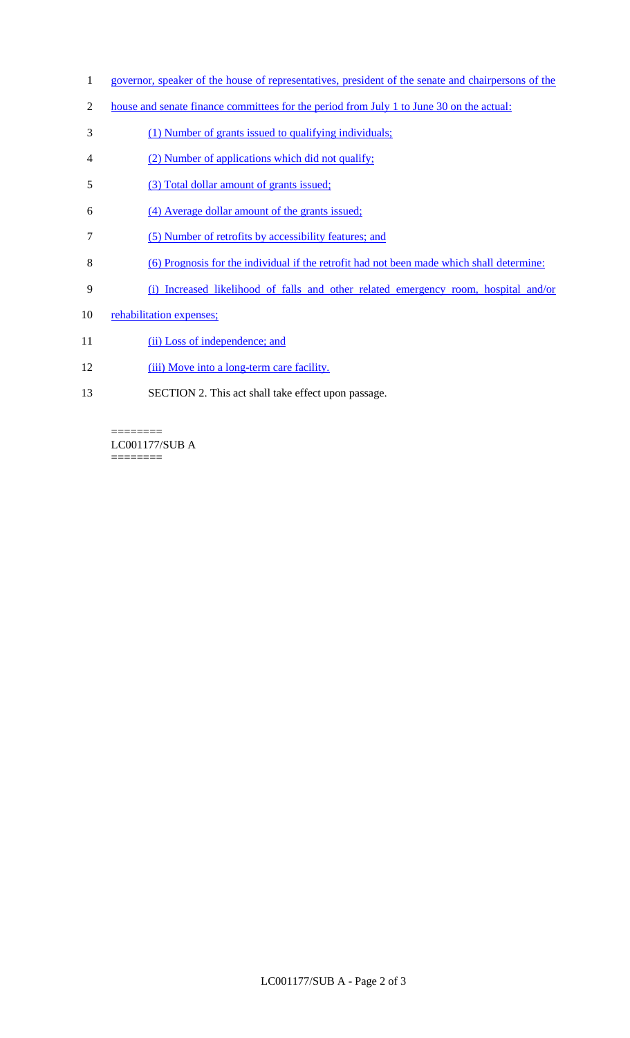- 1 governor, speaker of the house of representatives, president of the senate and chairpersons of the
- 2 house and senate finance committees for the period from July 1 to June 30 on the actual:
- 3 (1) Number of grants issued to qualifying individuals;
- 4 (2) Number of applications which did not qualify;
- 5 (3) Total dollar amount of grants issued;
- 6 (4) Average dollar amount of the grants issued;
- 7 (5) Number of retrofits by accessibility features; and
- 8 (6) Prognosis for the individual if the retrofit had not been made which shall determine:
- 9 (i) Increased likelihood of falls and other related emergency room, hospital and/or
- 10 rehabilitation expenses;
- 11 (ii) Loss of independence; and
- 12 (iii) Move into a long-term care facility.
- 13 SECTION 2. This act shall take effect upon passage.

 $=$ LC001177/SUB A  $=$